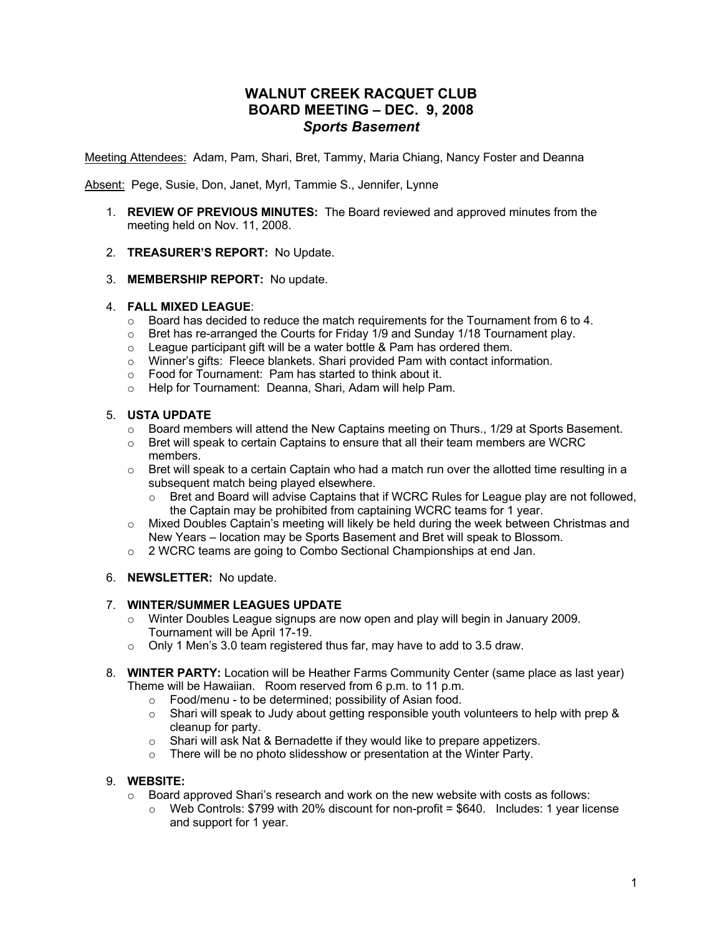# **WALNUT CREEK RACQUET CLUB BOARD MEETING – DEC. 9, 2008** *Sports Basement*

Meeting Attendees: Adam, Pam, Shari, Bret, Tammy, Maria Chiang, Nancy Foster and Deanna

Absent: Pege, Susie, Don, Janet, Myrl, Tammie S., Jennifer, Lynne

- 1. **REVIEW OF PREVIOUS MINUTES:**The Board reviewed and approved minutes from the meeting held on Nov. 11, 2008.
- 2. **TREASURER'S REPORT:** No Update.
- 3. **MEMBERSHIP REPORT:** No update.

# 4. **FALL MIXED LEAGUE**:

- $\circ$  Board has decided to reduce the match requirements for the Tournament from 6 to 4.
- $\circ$  Bret has re-arranged the Courts for Friday 1/9 and Sunday 1/18 Tournament play.
- o League participant gift will be a water bottle & Pam has ordered them.
- o Winner's gifts: Fleece blankets. Shari provided Pam with contact information.
- o Food for Tournament: Pam has started to think about it.
- o Help for Tournament: Deanna, Shari, Adam will help Pam.

# 5. **USTA UPDATE**

- o Board members will attend the New Captains meeting on Thurs., 1/29 at Sports Basement.
- $\circ$  Bret will speak to certain Captains to ensure that all their team members are WCRC members.
- $\circ$  Bret will speak to a certain Captain who had a match run over the allotted time resulting in a subsequent match being played elsewhere.
	- $\circ$  Bret and Board will advise Captains that if WCRC Rules for League play are not followed, the Captain may be prohibited from captaining WCRC teams for 1 year.
- $\circ$  Mixed Doubles Captain's meeting will likely be held during the week between Christmas and New Years – location may be Sports Basement and Bret will speak to Blossom.
- o 2 WCRC teams are going to Combo Sectional Championships at end Jan.

#### 6. **NEWSLETTER:** No update.

#### 7. **WINTER/SUMMER LEAGUES UPDATE**

- $\circ$  Winter Doubles League signups are now open and play will begin in January 2009. Tournament will be April 17-19.
- o Only 1 Men's 3.0 team registered thus far, may have to add to 3.5 draw.
- 8. **WINTER PARTY:** Location will be Heather Farms Community Center (same place as last year) Theme will be Hawaiian. Room reserved from 6 p.m. to 11 p.m.
	- o Food/menu to be determined; possibility of Asian food.
	- $\circ$  Shari will speak to Judy about getting responsible youth volunteers to help with prep & cleanup for party.
	- o Shari will ask Nat & Bernadette if they would like to prepare appetizers.
	- o There will be no photo slidesshow or presentation at the Winter Party.

# 9. **WEBSITE:**

- $\circ$  Board approved Shari's research and work on the new website with costs as follows:
	- $\circ$  Web Controls: \$799 with 20% discount for non-profit = \$640. Includes: 1 year license and support for 1 year.